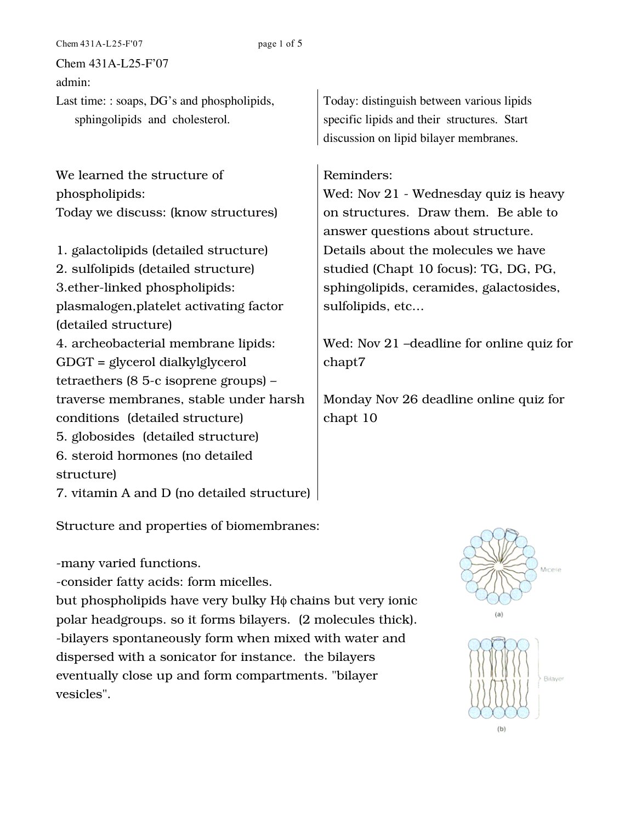Chem 431A-L25-F'07 page 1 of 5

Chem 431A-L25-F'07

admin:

Last time: : soaps, DG's and phospholipids, sphingolipids and cholesterol.

We learned the structure of phospholipids: Today we discuss: (know structures)

1. galactolipids (detailed structure) 2. sulfolipids (detailed structure) 3.ether-linked phospholipids: plasmalogen,platelet activating factor (detailed structure) 4. archeobacterial membrane lipids: GDGT = glycerol dialkylglycerol tetraethers (8 5-c isoprene groups) – traverse membranes, stable under harsh conditions (detailed structure) 5. globosides (detailed structure) 6. steroid hormones (no detailed structure) 7. vitamin A and D (no detailed structure)

Structure and properties of biomembranes:

-many varied functions.

-consider fatty acids: form micelles.

but phospholipids have very bulky Hφ chains but very ionic polar headgroups. so it forms bilayers. (2 molecules thick). -bilayers spontaneously form when mixed with water and dispersed with a sonicator for instance. the bilayers eventually close up and form compartments. "bilayer vesicles".

Today: distinguish between various lipids specific lipids and their structures. Start discussion on lipid bilayer membranes.

## Reminders:

Wed: Nov 21 - Wednesday quiz is heavy on structures. Draw them. Be able to answer questions about structure. Details about the molecules we have studied (Chapt 10 focus): TG, DG, PG, sphingolipids, ceramides, galactosides, sulfolipids, etc…

Wed: Nov 21 –deadline for online quiz for chapt7

Monday Nov 26 deadline online quiz for chapt 10



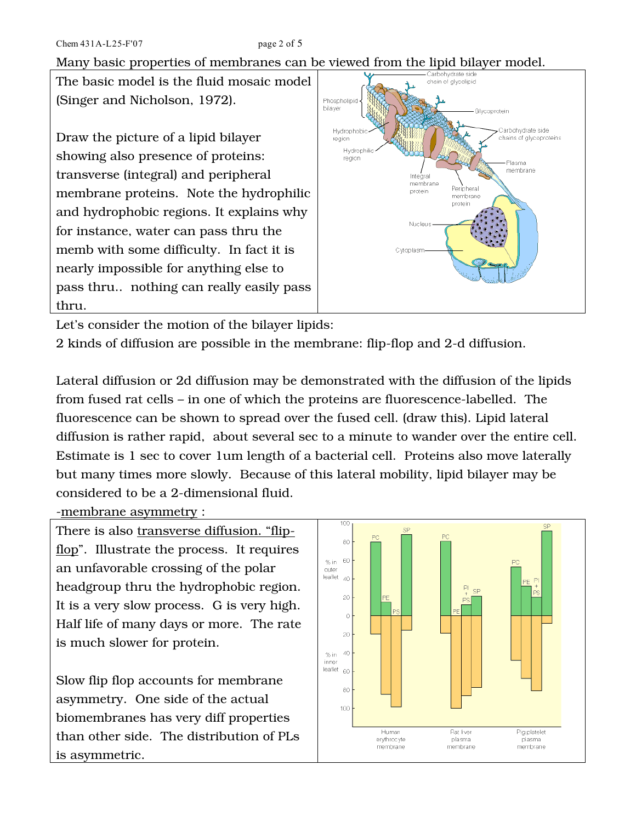Many basic properties of membranes can be viewed from the lipid bilayer model.

The basic model is the fluid mosaic model (Singer and Nicholson, 1972).

Draw the picture of a lipid bilayer showing also presence of proteins: transverse (integral) and peripheral membrane proteins. Note the hydrophilic and hydrophobic regions. It explains why for instance, water can pass thru the memb with some difficulty. In fact it is nearly impossible for anything else to pass thru.. nothing can really easily pass thru.



Let's consider the motion of the bilayer lipids:

2 kinds of diffusion are possible in the membrane: flip-flop and 2-d diffusion.

Lateral diffusion or 2d diffusion may be demonstrated with the diffusion of the lipids from fused rat cells – in one of which the proteins are fluorescence-labelled. The fluorescence can be shown to spread over the fused cell. (draw this). Lipid lateral diffusion is rather rapid, about several sec to a minute to wander over the entire cell. Estimate is 1 sec to cover 1um length of a bacterial cell. Proteins also move laterally but many times more slowly. Because of this lateral mobility, lipid bilayer may be considered to be a 2-dimensional fluid.

-membrane asymmetry :

There is also transverse diffusion. "flipflop". Illustrate the process. It requires an unfavorable crossing of the polar headgroup thru the hydrophobic region. It is a very slow process. G is very high. Half life of many days or more. The rate is much slower for protein.

Slow flip flop accounts for membrane asymmetry. One side of the actual biomembranes has very diff properties than other side. The distribution of PLs is asymmetric.

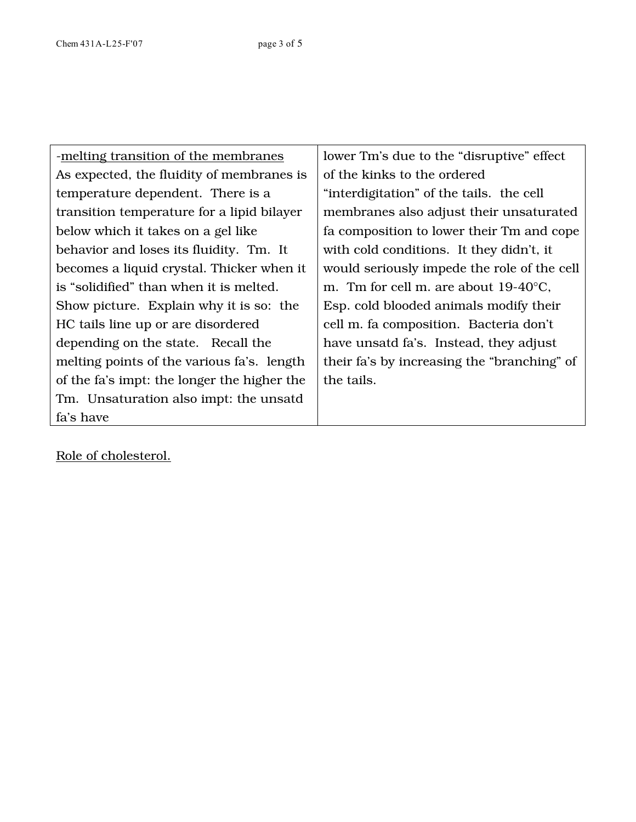| -melting transition of the membranes        | lower Tm's due to the "disruptive" effect      |
|---------------------------------------------|------------------------------------------------|
| As expected, the fluidity of membranes is   | of the kinks to the ordered                    |
| temperature dependent. There is a           | "interdigitation" of the tails. the cell       |
| transition temperature for a lipid bilayer  | membranes also adjust their unsaturated        |
| below which it takes on a gel like          | fa composition to lower their Tm and cope      |
| behavior and loses its fluidity. Tm. It     | with cold conditions. It they didn't, it       |
| becomes a liquid crystal. Thicker when it   | would seriously impede the role of the cell    |
| is "solidified" than when it is melted.     | m. Tm for cell m. are about $19-40^{\circ}$ C, |
| Show picture. Explain why it is so: the     | Esp. cold blooded animals modify their         |
| HC tails line up or are disordered          | cell m. fa composition. Bacteria don't         |
| depending on the state. Recall the          | have unsatd fa's. Instead, they adjust         |
| melting points of the various fa's. length  | their fa's by increasing the "branching" of    |
| of the fa's impt: the longer the higher the | the tails.                                     |
| Tm. Unsaturation also impt: the unsatd      |                                                |
| fa's have                                   |                                                |

Role of cholesterol.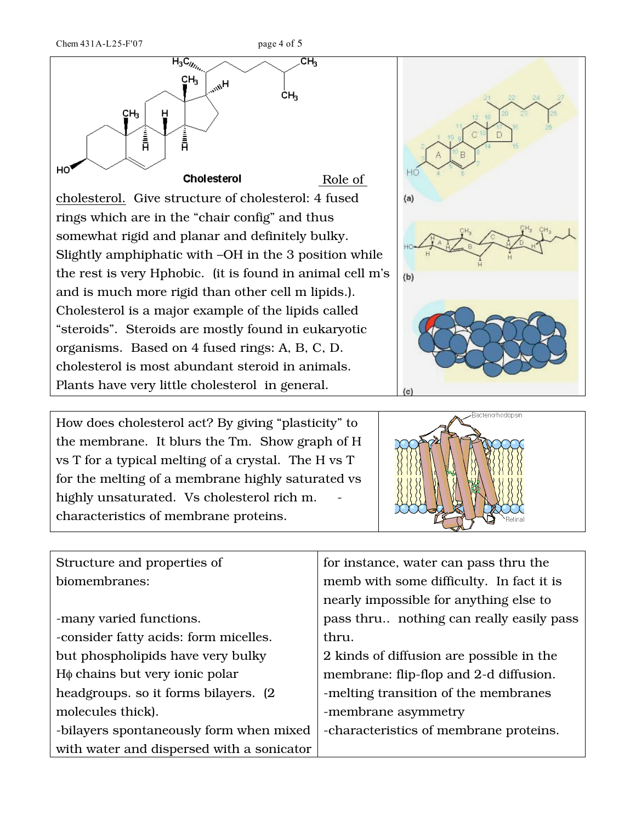

 $(a)$  $(b)$ 

How does cholesterol act? By giving "plasticity" to the membrane. It blurs the Tm. Show graph of H vs T for a typical melting of a crystal. The H vs T for the melting of a membrane highly saturated vs highly unsaturated. Vs cholesterol rich m. characteristics of membrane proteins.



| Structure and properties of               | for instance, water can pass thru the    |
|-------------------------------------------|------------------------------------------|
| biomembranes:                             | memb with some difficulty. In fact it is |
|                                           | nearly impossible for anything else to   |
| -many varied functions.                   | pass thru nothing can really easily pass |
| -consider fatty acids: form micelles.     | thru.                                    |
| but phospholipids have very bulky         | 2 kinds of diffusion are possible in the |
| $H\phi$ chains but very ionic polar       | membrane: flip-flop and 2-d diffusion.   |
| headgroups. so it forms bilayers. (2)     | -melting transition of the membranes     |
| molecules thick).                         | -membrane asymmetry                      |
| -bilayers spontaneously form when mixed   | -characteristics of membrane proteins.   |
| with water and dispersed with a sonicator |                                          |